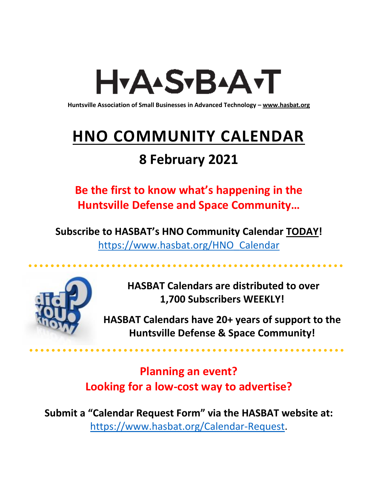# H<sub>Y</sub>AASTBAATT

**Huntsville Association of Small Businesses in Advanced Technology – [www.hasbat.org](http://www.hasbat.org/)**

# **HNO COMMUNITY CALENDAR**

# **8 February 2021**

**Be the first to know what's happening in the Huntsville Defense and Space Community…** 

**Subscribe to HASBAT's HNO Community Calendar TODAY!**  [https://www.hasbat.org/HNO\\_Calendar](https://www.hasbat.org/HNO_Calendar)



**HASBAT Calendars are distributed to over 1,700 Subscribers WEEKLY!**

**HASBAT Calendars have 20+ years of support to the Huntsville Defense & Space Community!** 

**Planning an event? Looking for a low-cost way to advertise?**

**Submit a "Calendar Request Form" via the HASBAT website at:**  [https://www.hasbat.org/Calendar-Request.](https://www.hasbat.org/Calendar-Request)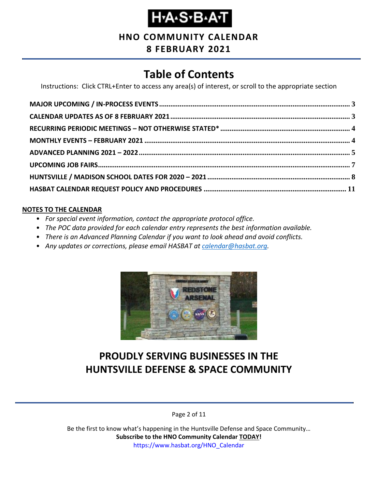# **Н-А-S-В-А-Т**

### **HNO COMMUNITY CALENDAR**

#### **8 FEBRUARY 2021**

### **Table of Contents**

Instructions: Click CTRL+Enter to access any area(s) of interest, or scroll to the appropriate section

#### **NOTES TO THE CALENDAR**

- *For special event information, contact the appropriate protocol office.*
- *The POC data provided for each calendar entry represents the best information available.*
- *There is an Advanced Planning Calendar if you want to look ahead and avoid conflicts.*
- *Any updates or corrections, please email HASBAT at [calendar@hasbat.org.](mailto:calendar@hasbat.org)*



### **PROUDLY SERVING BUSINESSES IN THE HUNTSVILLE DEFENSE & SPACE COMMUNITY**

Page 2 of 11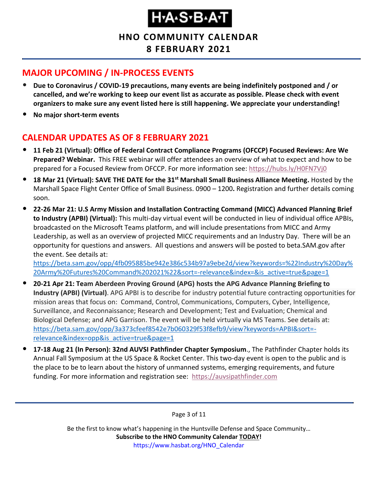**HNO COMMUNITY CALENDAR 8 FEBRUARY 2021**

### <span id="page-2-0"></span>**MAJOR UPCOMING / IN-PROCESS EVENTS**

- **Due to Coronavirus / COVID-19 precautions, many events are being indefinitely postponed and / or cancelled, and we're working to keep our event list as accurate as possible. Please check with event organizers to make sure any event listed here is still happening. We appreciate your understanding!**
- **No major short-term events**

### <span id="page-2-1"></span>**CALENDAR UPDATES AS OF 8 FEBRUARY 2021**

- **11 Feb 21 (Virtual): Office of Federal Contract Compliance Programs (OFCCP) Focused Reviews: Are We Prepared? Webinar.** This FREE webinar will offer attendees an overview of what to expect and how to be prepared for a Focused Review from OFCCP. For more information see:<https://hubs.ly/H0FN7Vj0>
- **18 Mar 21 (Virtual): SAVE THE DATE for the 31st Marshall Small Business Alliance Meeting.** Hosted by the Marshall Space Flight Center Office of Small Business. 0900 – 1200**.** Registration and further details coming soon.
- **22-26 Mar 21: U.S Army Mission and Installation Contracting Command (MICC) Advanced Planning Brief to Industry (APBI) (Virtual):** This multi-day virtual event will be conducted in lieu of individual office APBIs, broadcasted on the Microsoft Teams platform, and will include presentations from MICC and Army Leadership, as well as an overview of projected MICC requirements and an Industry Day. There will be an opportunity for questions and answers. All questions and answers will be posted to beta.SAM.gov after the event. See details at:

[https://beta.sam.gov/opp/4fb095885be942e386c534b97a9ebe2d/view?keywords=%22Industry%20Day%](https://beta.sam.gov/opp/4fb095885be942e386c534b97a9ebe2d/view?keywords=%22Industry%20Day%20Army%20Futures%20Command%202021%22&sort=-relevance&index=&is_active=true&page=1) [20Army%20Futures%20Command%202021%22&sort=-relevance&index=&is\\_active=true&page=1](https://beta.sam.gov/opp/4fb095885be942e386c534b97a9ebe2d/view?keywords=%22Industry%20Day%20Army%20Futures%20Command%202021%22&sort=-relevance&index=&is_active=true&page=1)

- **20-21 Apr 21: Team Aberdeen Proving Ground (APG) hosts the APG Advance Planning Briefing to Industry (APBI) (Virtual)**. APG APBI is to describe for industry potential future contracting opportunities for mission areas that focus on: Command, Control, Communications, Computers, Cyber, Intelligence, Surveillance, and Reconnaissance; Research and Development; Test and Evaluation; Chemical and Biological Defense; and APG Garrison. The event will be held virtually via MS Teams. See details at: [https://beta.sam.gov/opp/3a373cfeef8542e7b060329f53f8efb9/view?keywords=APBI&sort=](https://beta.sam.gov/opp/3a373cfeef8542e7b060329f53f8efb9/view?keywords=APBI&sort=-relevance&index=opp&is_active=true&page=1) [relevance&index=opp&is\\_active=true&page=1](https://beta.sam.gov/opp/3a373cfeef8542e7b060329f53f8efb9/view?keywords=APBI&sort=-relevance&index=opp&is_active=true&page=1)
- **17-18 Aug 21 (In Person): 32nd AUVSI Pathfinder Chapter Symposium**., The Pathfinder Chapter holds its Annual Fall Symposium at the US Space & Rocket Center. This two-day event is open to the public and is the place to be to learn about the history of unmanned systems, emerging requirements, and future funding. For more information and registration see: [https://auvsipathfinder.com](https://auvsipathfinder.com/)

Page 3 of 11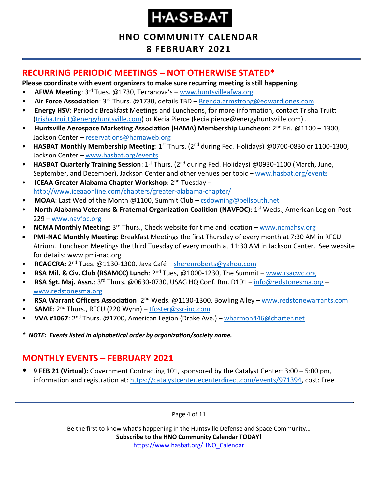# H.A.S.B.A.T

### **HNO COMMUNITY CALENDAR 8 FEBRUARY 2021**

### <span id="page-3-0"></span>**RECURRING PERIODIC MEETINGS – NOT OTHERWISE STATED\***

**Please coordinate with event organizers to make sure recurring meeting is still happening.**

- **AFWA Meeting**: 3rd Tues. @1730, Terranova's [www.huntsvilleafwa.org](http://www.huntsvilleafwa.org/)
- **Air Force Association**: 3rd Thurs. @1730, details TBD [Brenda.armstrong@edwardjones.com](mailto:Brenda.armstrong@edwardjones.com)
- **Energy HSV**: Periodic Breakfast Meetings and Luncheons, for more information, contact Trisha Truitt [\(trisha.truitt@energyhuntsville.com\)](mailto:trisha.truitt@energyhuntsville.com) or Kecia Pierce (kecia.pierce@energyhuntsville.com) .
- **Huntsville Aerospace Marketing Association (HAMA) Membership Luncheon**: 2nd Fri. @1100 1300, Jackson Center – [reservations@hamaweb.org](mailto:reservations@hamaweb.org)
- **HASBAT Monthly Membership Meeting**: 1<sup>st</sup> Thurs. (2<sup>nd</sup> during Fed. Holidays) @0700-0830 or 1100-1300, Jackson Center – [www.hasbat.org/events](http://www.hasbat.org/events)
- **HASBAT Quarterly Training Session**: 1<sup>st</sup> Thurs. (2<sup>nd</sup> during Fed. Holidays) @0930-1100 (March, June, September, and December), Jackson Center and other venues per topic – [www.hasbat.org/events](http://www.hasbat.org/events)
- **ICEAA Greater Alabama Chapter Workshop**: 2nd Tuesday <http://www.iceaaonline.com/chapters/greater-alabama-chapter/>
- **MOAA**: Last Wed of the Month @1100, Summit Club [csdowning@bellsouth.net](mailto:csdowning@bellsouth.net)
- **North Alabama Veterans & Fraternal Organization Coalition (NAVFOC): 1<sup>st</sup> Weds., American Legion-Post** 229 – [www.navfoc.org](http://www.navfoc.org/)
- **NCMA Monthly Meeting**: 3rd Thurs., Check website for time and location [www.ncmahsv.org](http://www.ncmahsv.org/)
- **PMI-NAC Monthly Meeting:** Breakfast Meetings the first Thursday of every month at 7:30 AM in RFCU Atrium. Luncheon Meetings the third Tuesday of every month at 11:30 AM in Jackson Center. See website for details: www.pmi-nac.org
- **RCAGCRA**: 2<sup>nd</sup> Tues. @1130-1300, Java Café [sherenroberts@yahoo.com](mailto:sherenroberts@yahoo.com)
- **RSA Mil. & Civ. Club (RSAMCC) Lunch**: 2nd Tues, @1000-1230, The Summit [www.rsacwc.org](http://www.rsacwc.org/)
- **RSA Sgt. Maj. Assn.**: 3rd Thurs. @0630-0730, USAG HQ Conf. Rm. D101 [info@redstonesma.org](mailto:info@redstonesma.org) [www.redstonesma.org](http://www.redstonesma.org/)
- **RSA Warrant Officers Association**: 2<sup>nd</sup> Weds. @1130-1300, Bowling Alley [www.redstonewarrants.com](http://www.redstonewarrants.com/)
- **SAME**: 2nd Thurs., RFCU (220 Wynn) [tfoster@ssr-inc.com](mailto:tfoster@ssr-inc.com)
- **VVA #1067**: 2nd Thurs. @1700, American Legion (Drake Ave.) [wharmon446@charter.net](mailto:wharmon446@charter.net)
- *\* NOTE: Events listed in alphabetical order by organization/society name.*

### <span id="page-3-1"></span>**MONTHLY EVENTS – FEBRUARY 2021**

• **9 FEB 21 (Virtual):** Government Contracting 101, sponsored by the Catalyst Center: 3:00 – 5:00 pm, information and registration at: [https://catalystcenter.ecenterdirect.com/events/971394,](https://catalystcenter.ecenterdirect.com/events/971394) cost: Free

Page 4 of 11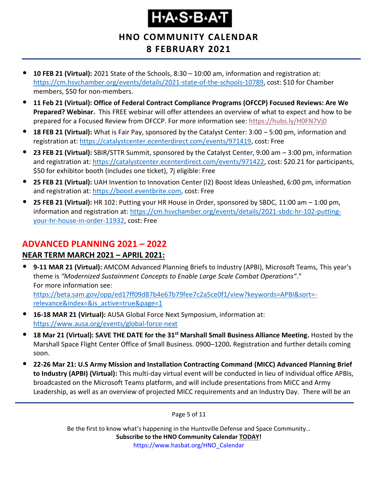# H.A.S.B.A.T

### **HNO COMMUNITY CALENDAR 8 FEBRUARY 2021**

- **10 FEB 21 (Virtual):** 2021 State of the Schools, 8:30 10:00 am, information and registration at: [https://cm.hsvchamber.org/events/details/2021-state-of-the-schools-10789,](https://cm.hsvchamber.org/events/details/2021-state-of-the-schools-10789) cost: \$10 for Chamber members, \$50 for non-members.
- **11 Feb 21 (Virtual): Office of Federal Contract Compliance Programs (OFCCP) Focused Reviews: Are We Prepared? Webinar.** This FREE webinar will offer attendees an overview of what to expect and how to be prepared for a Focused Review from OFCCP. For more information see:<https://hubs.ly/H0FN7Vj0>
- **18 FEB 21 (Virtual):** What is Fair Pay, sponsored by the Catalyst Center: 3:00 5:00 pm, information and registration at: [https://catalystcenter.ecenterdirect.com/events/971419,](https://catalystcenter.ecenterdirect.com/events/971419) cost: Free
- **23 FEB 21 (Virtual):** SBIR/STTR Summit, sponsored by the Catalyst Center, 9:00 am 3:00 pm, information and registration at: [https://catalystcenter.ecenterdirect.com/events/971422,](https://catalystcenter.ecenterdirect.com/events/971422) cost: \$20.21 for participants, \$50 for exhibitor booth (includes one ticket), 7j eligible: Free
- **25 FEB 21 (Virtual):** UAH Invention to Innovation Center (I2) Boost Ideas Unleashed, 6:00 pm, information and registration at: [https://boost.eventbrite.com,](https://boost.eventbrite.com/) cost: Free
- **25 FEB 21 (Virtual):** HR 102: Putting your HR House in Order, sponsored by SBDC, 11:00 am 1:00 pm, information and registration at: [https://cm.hsvchamber.org/events/details/2021-sbdc-hr-102-putting](https://cm.hsvchamber.org/events/details/2021-sbdc-hr-102-putting-your-hr-house-in-order-11932)[your-hr-house-in-order-11932,](https://cm.hsvchamber.org/events/details/2021-sbdc-hr-102-putting-your-hr-house-in-order-11932) cost: Free

### <span id="page-4-0"></span>**ADVANCED PLANNING 2021 – 2022**

### **NEAR TERM MARCH 2021 – APRIL 2021:**

- **9-11 MAR 21 (Virtual):** AMCOM Advanced Planning Briefs to Industry (APBI), Microsoft Teams, This year's theme is *"Modernized Sustainment Concepts to Enable Large Scale Combat Operations"*." For more information see: [https://beta.sam.gov/opp/ed17ff09d87b4e67b79fee7c2a5ce0f1/view?keywords=APBI&sort=](https://beta.sam.gov/opp/ed17ff09d87b4e67b79fee7c2a5ce0f1/view?keywords=APBI&sort=-relevance&index=&is_active=true&page=1) [relevance&index=&is\\_active=true&page=1](https://beta.sam.gov/opp/ed17ff09d87b4e67b79fee7c2a5ce0f1/view?keywords=APBI&sort=-relevance&index=&is_active=true&page=1)
- **16-18 MAR 21 (Virtual):** AUSA Global Force Next Symposium, information at: <https://www.ausa.org/events/global-force-next>
- **18 Mar 21 (Virtual): SAVE THE DATE for the 31st Marshall Small Business Alliance Meeting.** Hosted by the Marshall Space Flight Center Office of Small Business. 0900–1200**.** Registration and further details coming soon.
- **22-26 Mar 21: U.S Army Mission and Installation Contracting Command (MICC) Advanced Planning Brief to Industry (APBI) (Virtual):** This multi-day virtual event will be conducted in lieu of individual office APBIs, broadcasted on the Microsoft Teams platform, and will include presentations from MICC and Army Leadership, as well as an overview of projected MICC requirements and an Industry Day. There will be an

Page 5 of 11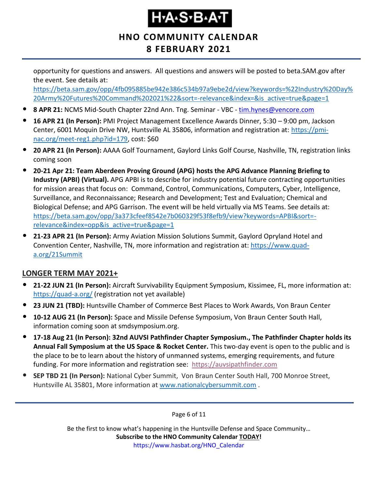# H.A.S.B.A.T

### **HNO COMMUNITY CALENDAR 8 FEBRUARY 2021**

opportunity for questions and answers. All questions and answers will be posted to beta.SAM.gov after the event. See details at:

[https://beta.sam.gov/opp/4fb095885be942e386c534b97a9ebe2d/view?keywords=%22Industry%20Day%](https://beta.sam.gov/opp/4fb095885be942e386c534b97a9ebe2d/view?keywords=%22Industry%20Day%20Army%20Futures%20Command%202021%22&sort=-relevance&index=&is_active=true&page=1) [20Army%20Futures%20Command%202021%22&sort=-relevance&index=&is\\_active=true&page=1](https://beta.sam.gov/opp/4fb095885be942e386c534b97a9ebe2d/view?keywords=%22Industry%20Day%20Army%20Futures%20Command%202021%22&sort=-relevance&index=&is_active=true&page=1)

- **8 APR 21:** NCMS Mid-South Chapter 22nd Ann. Tng. Seminar VBC [tim.hynes@vencore.com](mailto:tim.hynes@vencore.com)
- **16 APR 21 (In Person):** PMI Project Management Excellence Awards Dinner, 5:30 9:00 pm, Jackson Center, 6001 Moquin Drive NW, Huntsville AL 35806, information and registration at: [https://pmi](https://pmi-nac.org/meet-reg1.php?id=179)[nac.org/meet-reg1.php?id=179,](https://pmi-nac.org/meet-reg1.php?id=179) cost: \$60
- **20 APR 21 (In Person):** AAAA Golf Tournament, Gaylord Links Golf Course, Nashville, TN, registration links coming soon
- **20-21 Apr 21: Team Aberdeen Proving Ground (APG) hosts the APG Advance Planning Briefing to Industry (APBI) (Virtual).** APG APBI is to describe for industry potential future contracting opportunities for mission areas that focus on: Command, Control, Communications, Computers, Cyber, Intelligence, Surveillance, and Reconnaissance; Research and Development; Test and Evaluation; Chemical and Biological Defense; and APG Garrison. The event will be held virtually via MS Teams. See details at: [https://beta.sam.gov/opp/3a373cfeef8542e7b060329f53f8efb9/view?keywords=APBI&sort=](https://beta.sam.gov/opp/3a373cfeef8542e7b060329f53f8efb9/view?keywords=APBI&sort=-relevance&index=opp&is_active=true&page=1) [relevance&index=opp&is\\_active=true&page=1](https://beta.sam.gov/opp/3a373cfeef8542e7b060329f53f8efb9/view?keywords=APBI&sort=-relevance&index=opp&is_active=true&page=1)
- **21-23 APR 21 (In Person):** Army Aviation Mission Solutions Summit, Gaylord Opryland Hotel and Convention Center, Nashville, TN, more information and registration at: [https://www.quad](https://www.quad-a.org/21Summit)[a.org/21Summit](https://www.quad-a.org/21Summit)

#### **LONGER TERM MAY 2021+**

- **21-22 JUN 21 (In Person):** Aircraft Survivability Equipment Symposium, Kissimee, FL, more information at: <https://quad-a.org/> (registration not yet available)
- **23 JUN 21 (TBD):** Huntsville Chamber of Commerce Best Places to Work Awards, Von Braun Center
- **10-12 AUG 21 (In Person):** Space and Missile Defense Symposium, Von Braun Center South Hall, information coming soon at smdsymposium.org.
- **17-18 Aug 21 (In Person): 32nd AUVSI Pathfinder Chapter Symposium., The Pathfinder Chapter holds its Annual Fall Symposium at the US Space & Rocket Center.** This two-day event is open to the public and is the place to be to learn about the history of unmanned systems, emerging requirements, and future funding. For more information and registration see: [https://auvsipathfinder.com](https://auvsipathfinder.com/)
- **SEP TBD 21 (In Person):** National Cyber Summit, Von Braun Center South Hall, 700 Monroe Street, Huntsville AL 35801, More information at [www.nationalcybersummit.com](http://www.nationalcybersummit.com/) .

Page 6 of 11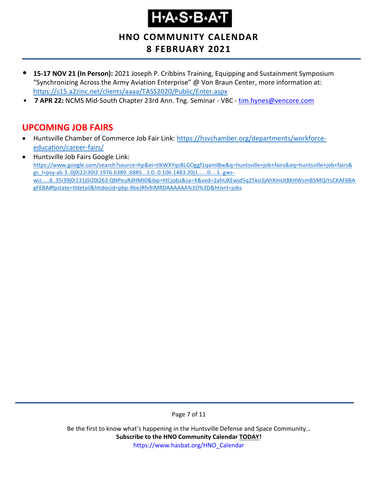**HNO COMMUNITY CALENDAR 8 FEBRUARY 2021**

- **15-17 NOV 21 (In Person):** 2021 Joseph P. Cribbins Training, Equipping and Sustainment Symposium "Synchronizing Across the Army Aviation Enterprise" @ Von Braun Center, more information at: <https://s15.a2zinc.net/clients/aaaa/TASS2020/Public/Enter.aspx>
- **7 APR 22: NCMS Mid-South Chapter 23rd Ann. Tng. Seminar VBC [tim.hynes@vencore.com](mailto:tim.hynes@vencore.com)**

### <span id="page-6-0"></span>**UPCOMING JOB FAIRS**

- Huntsville Chamber of Commerce Job Fair Link: [https://hsvchamber.org/departments/workforce](https://hsvchamber.org/departments/workforce-education/career-fairs/)[education/career-fairs/](https://hsvchamber.org/departments/workforce-education/career-fairs/)
- Huntsville Job Fairs Google Link: [https://www.google.com/search?source=hp&ei=tIkWXYqcBLGOggf1qamIBw&q=huntsville+job+fairs&oq=huntsville+job+fairs&](https://www.google.com/search?source=hp&ei=tIkWXYqcBLGOggf1qamIBw&q=huntsville+job+fairs&oq=huntsville+job+fairs&gs_l=psy-ab.3..0j0i22i30l2.1976.6389..6885...1.0..0.106.1483.20j1......0....1..gws-wiz.....8..35i39j0i131j0i20i263.QNPeuRdHMI0&ibp=htl;jobs&sa=X&ved=2ahUKEwjd5q25ko3jAhXmUt8KHWsmB5MQiYsCKAF6BAgFEBA#fpstate=tldetail&htidocid=pbp-9beJRfv9iMRDAAAAAA%3D%3D&htivrt=jobs) [gs\\_l=psy-ab.3..0j0i22i30l2.1976.6389..6885...1.0..0.106.1483.20j1......0....1..gws](https://www.google.com/search?source=hp&ei=tIkWXYqcBLGOggf1qamIBw&q=huntsville+job+fairs&oq=huntsville+job+fairs&gs_l=psy-ab.3..0j0i22i30l2.1976.6389..6885...1.0..0.106.1483.20j1......0....1..gws-wiz.....8..35i39j0i131j0i20i263.QNPeuRdHMI0&ibp=htl;jobs&sa=X&ved=2ahUKEwjd5q25ko3jAhXmUt8KHWsmB5MQiYsCKAF6BAgFEBA#fpstate=tldetail&htidocid=pbp-9beJRfv9iMRDAAAAAA%3D%3D&htivrt=jobs)[wiz.....8..35i39j0i131j0i20i263.QNPeuRdHMI0&ibp=htl;jobs&sa=X&ved=2ahUKEwjd5q25ko3jAhXmUt8KHWsmB5MQiYsCKAF6BA](https://www.google.com/search?source=hp&ei=tIkWXYqcBLGOggf1qamIBw&q=huntsville+job+fairs&oq=huntsville+job+fairs&gs_l=psy-ab.3..0j0i22i30l2.1976.6389..6885...1.0..0.106.1483.20j1......0....1..gws-wiz.....8..35i39j0i131j0i20i263.QNPeuRdHMI0&ibp=htl;jobs&sa=X&ved=2ahUKEwjd5q25ko3jAhXmUt8KHWsmB5MQiYsCKAF6BAgFEBA#fpstate=tldetail&htidocid=pbp-9beJRfv9iMRDAAAAAA%3D%3D&htivrt=jobs) [gFEBA#fpstate=tldetail&htidocid=pbp-9beJRfv9iMRDAAAAAA%3D%3D&htivrt=jobs](https://www.google.com/search?source=hp&ei=tIkWXYqcBLGOggf1qamIBw&q=huntsville+job+fairs&oq=huntsville+job+fairs&gs_l=psy-ab.3..0j0i22i30l2.1976.6389..6885...1.0..0.106.1483.20j1......0....1..gws-wiz.....8..35i39j0i131j0i20i263.QNPeuRdHMI0&ibp=htl;jobs&sa=X&ved=2ahUKEwjd5q25ko3jAhXmUt8KHWsmB5MQiYsCKAF6BAgFEBA#fpstate=tldetail&htidocid=pbp-9beJRfv9iMRDAAAAAA%3D%3D&htivrt=jobs)

Page 7 of 11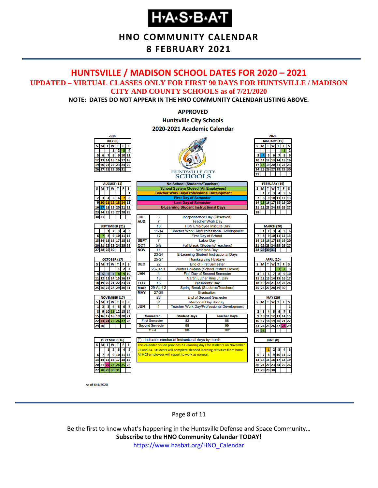### **HNO COMMUNITY CALENDAR**

#### **8 FEBRUARY 2021**

#### <span id="page-7-0"></span>**HUNTSVILLE / MADISON SCHOOL DATES FOR 2020 – 2021 UPDATED – VIRTUAL CLASSES ONLY FOR FIRST 90 DAYS FOR HUNTSVILLE / MADISON CITY AND COUNTY SCHOOLS as of 7/21/2020**

**NOTE: DATES DO NOT APPEAR IN THE HNO COMMUNITY CALENDAR LISTING ABOVE.**

#### **APPROVED Huntsville City Schools** 2020-2021 Academic Calendar



As of 6/4/2020

Page 8 of 11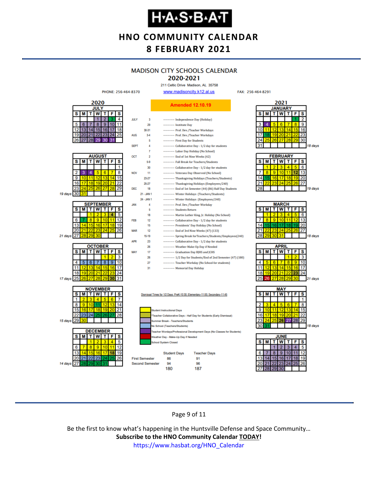### **HNO COMMUNITY CALENDAR 8 FEBRUARY 2021**

### **MADISON CITY SCHOOLS CALENDAR**

2020-2021 211 Celtic Drive Madison, AL 35758

FAX: 256-464-8291



#### Page 9 of 11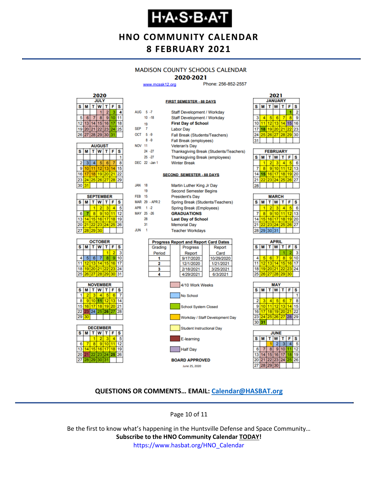### **HNO COMMUNITY CALENDAR 8 FEBRUARY 2021**

#### **MADISON COUNTY SCHOOLS CALENDAR**

#### 2020-2021

**FIRST SEMESTER - 88 DAYS** 

www.mcssk12.org

Phone: 256-852-2557



| <b>AUGUST</b> |    |                 |                   |    |    |    |  |  |
|---------------|----|-----------------|-------------------|----|----|----|--|--|
| s             | М  | W<br>F<br>т     |                   |    |    |    |  |  |
|               |    |                 |                   |    |    |    |  |  |
| 2             | з  |                 | 5                 | 6  |    | 8  |  |  |
| 9             | 10 |                 | $12 \overline{ }$ | 13 |    |    |  |  |
| 16            | 17 | 18 <sup>1</sup> | 19 20             |    | 21 | 22 |  |  |
| 23            | 24 |                 | 25 26 27          |    | 28 | 29 |  |  |
| 30            | 31 |                 |                   |    |    |    |  |  |

|                              | <b>SEPTEMBER</b> |    |          |    |    |    |  |  |  |
|------------------------------|------------------|----|----------|----|----|----|--|--|--|
| т<br>T W<br>F<br>s<br>s<br>М |                  |    |          |    |    |    |  |  |  |
|                              |                  |    | 2        | ٩  |    |    |  |  |  |
| 6                            |                  | \$ | 9        | 10 |    | 12 |  |  |  |
| 13                           | 4                |    | 15 16    | 17 | 18 |    |  |  |  |
| 20                           | 211              |    | 22 23 24 |    | 25 | 26 |  |  |  |
| 27                           | 28               | 29 | 30       |    |    |    |  |  |  |







| AUG 5-7       |    |                | Staff Development / Workday      |                                              |  |                                        |  |  |  |
|---------------|----|----------------|----------------------------------|----------------------------------------------|--|----------------------------------------|--|--|--|
|               |    | $10 - 18$      | Staff Development / Workday      |                                              |  |                                        |  |  |  |
|               | 19 |                |                                  | <b>First Day of School</b>                   |  |                                        |  |  |  |
| <b>SEP</b>    | -7 |                | <b>Labor Day</b>                 |                                              |  |                                        |  |  |  |
| $OCT = 5 - 9$ |    |                |                                  | Fall Break (Students/Teachers)               |  |                                        |  |  |  |
|               |    | $8 - 9$        |                                  | Fall Break (employees)                       |  |                                        |  |  |  |
| <b>NOV 11</b> |    |                |                                  | <b>Veteran's Day</b>                         |  |                                        |  |  |  |
|               |    | 24 - 27        |                                  |                                              |  | Thanksgiving Break (Students/Teachers) |  |  |  |
|               |    | $25 - 27$      |                                  | <b>Thanksgiving Break (employees)</b>        |  |                                        |  |  |  |
|               |    | DEC 22 -Jan 1  |                                  | <b>Winter Break</b>                          |  |                                        |  |  |  |
|               |    |                |                                  |                                              |  |                                        |  |  |  |
|               |    |                |                                  | <b>SECOND SEMESTER - 88 DAYS</b>             |  |                                        |  |  |  |
| <b>JAN</b>    | 18 |                |                                  | Martin Luther King Jr Day                    |  |                                        |  |  |  |
|               | 19 |                |                                  | <b>Second Semester Begins</b>                |  |                                        |  |  |  |
| <b>FFR 15</b> |    |                |                                  | <b>President's Day</b>                       |  |                                        |  |  |  |
|               |    | MAR 29 - APR 2 | Spring Break (Students/Teachers) |                                              |  |                                        |  |  |  |
| APR 1-2       |    |                |                                  | Spring Break (Employees)                     |  |                                        |  |  |  |
| MAY 25 -26    |    |                |                                  | <b>GRADUATIONS</b>                           |  |                                        |  |  |  |
|               | 28 |                |                                  | <b>Last Day of School</b>                    |  |                                        |  |  |  |
|               | 31 |                |                                  | <b>Memorial Day</b>                          |  |                                        |  |  |  |
| <b>JUN</b>    | 1  |                |                                  | <b>Teacher Workdays</b>                      |  |                                        |  |  |  |
|               |    |                |                                  |                                              |  |                                        |  |  |  |
|               |    |                |                                  | <b>Progress Report and Report Card Dates</b> |  |                                        |  |  |  |
|               |    | Grading        |                                  | Progress                                     |  | Report                                 |  |  |  |
|               |    | Period         |                                  | Report                                       |  | Card                                   |  |  |  |
|               |    | 1              |                                  | 9/17/2020                                    |  | 10/29/2020                             |  |  |  |
|               |    | 2              |                                  | 12/1/2020                                    |  | 1/21/2021                              |  |  |  |
|               |    | 3              |                                  | 2/18/2021                                    |  | 3/25/2021                              |  |  |  |
|               |    | 4              |                                  | 4/29/2021                                    |  | 6/3/2021                               |  |  |  |



| 2021                         |    |    |    |    |    |    |  |  |  |
|------------------------------|----|----|----|----|----|----|--|--|--|
| <b>JANUARY</b>               |    |    |    |    |    |    |  |  |  |
| T W<br>S<br>s<br>т<br>F<br>м |    |    |    |    |    |    |  |  |  |
|                              |    |    |    |    |    | 2  |  |  |  |
| 3                            |    | 5  | 6  |    | 8  | 9  |  |  |  |
| $\overline{0}$               |    | 12 | 13 | 14 | 15 | 16 |  |  |  |
| 7                            | 18 | 19 | 20 | 21 | 22 | 23 |  |  |  |
| 4                            | 25 | 26 | 27 | 28 | 29 | 30 |  |  |  |
| I1                           |    |    |    |    |    |    |  |  |  |
|                              |    |    |    |    |    |    |  |  |  |

| <b>FEBRUARY</b> |  |    |                |    |    |    |  |  |  |
|-----------------|--|----|----------------|----|----|----|--|--|--|
| s               |  |    | w              |    | F  | s  |  |  |  |
|                 |  |    |                |    |    | 6  |  |  |  |
|                 |  | 9  | 10             |    | 12 | 13 |  |  |  |
|                 |  | 16 | 17             | 18 | 19 | 20 |  |  |  |
|                 |  |    | 23 24 25 26 27 |    |    |    |  |  |  |
|                 |  |    |                |    |    |    |  |  |  |

| <b>MARCH</b> |                                 |                 |                 |    |       |    |  |  |  |
|--------------|---------------------------------|-----------------|-----------------|----|-------|----|--|--|--|
| S            | <b>T</b> W<br>$T$ $F$<br>S<br>М |                 |                 |    |       |    |  |  |  |
|              |                                 | 2               |                 |    |       | 6  |  |  |  |
|              | 8                               | 9               | 10              |    | 12    | 13 |  |  |  |
| 14           | 15 <sub>1</sub>                 | 16 <sup>1</sup> | 17 <sup>1</sup> | 18 | 19    | 20 |  |  |  |
| 21           | 22                              |                 | 23 24 25        |    | 26 27 |    |  |  |  |
|              |                                 |                 | 28 29 30 31     |    |       |    |  |  |  |
|              |                                 |                 |                 |    |       |    |  |  |  |

| APRIL |                 |                 |    |       |    |    |  |  |
|-------|-----------------|-----------------|----|-------|----|----|--|--|
| s     | м               | τ               | W  |       | F  | S  |  |  |
|       |                 |                 |    |       |    | 3  |  |  |
| 4     | 5               | 6               |    | 8     | 9  | 10 |  |  |
| 11    | 12 <sup>1</sup> | 13 <sup>1</sup> | 14 | 15    | 16 | 17 |  |  |
| 18    |                 | 19 20 21 22 23  |    |       |    | 24 |  |  |
| 25    |                 | 26 27 28        |    | 29 30 |    |    |  |  |
|       |                 |                 |    |       |    |    |  |  |





#### **QUESTIONS OR COMMENTS… EMAIL: [Calendar@HASBAT.org](mailto:calendar@hasbat.org)**

Page 10 of 11